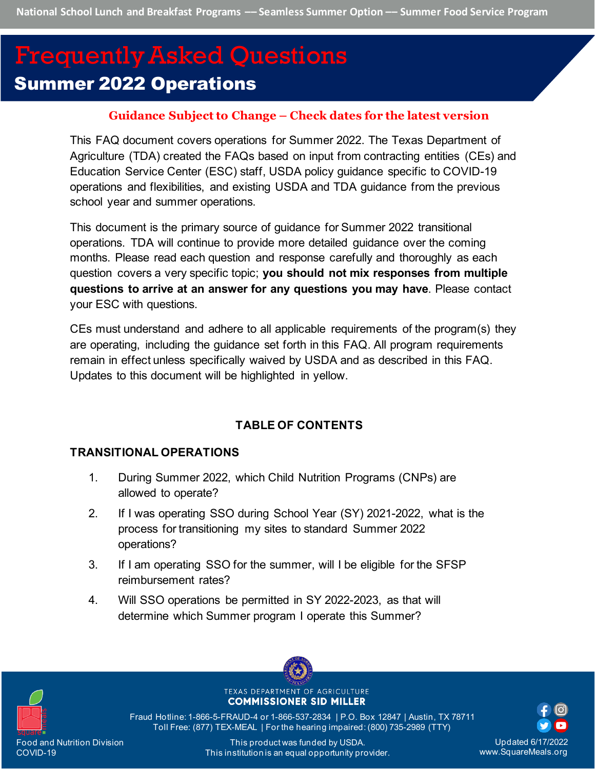# Summer 2022 Operations Frequently Asked Questions

## **Guidance Subject to Change – Check dates for the latest version**

This FAQ document covers operations for Summer 2022. The Texas Department of Agriculture (TDA) created the FAQs based on input from contracting entities (CEs) and Education Service Center (ESC) staff, USDA policy guidance specific to COVID-19 operations and flexibilities, and existing USDA and TDA guidance from the previous school year and summer operations.

This document is the primary source of guidance for Summer 2022 transitional operations. TDA will continue to provide more detailed guidance over the coming months. Please read each question and response carefully and thoroughly as each question covers a very specific topic; **you should not mix responses from multiple questions to arrive at an answer for any questions you may have**. Please contact your ESC with questions.

CEs must understand and adhere to all applicable requirements of the program(s) they are operating, including the guidance set forth in this FAQ. All program requirements remain in effect unless specifically waived by USDA and as described in this FAQ. Updates to this document will be highlighted in yellow.

## **TABLE OF CONTENTS**

## **[TRANSITIONAL OPERATIONS](#page-4-0)**

- 1. [During Summer 2022, which Child Nutrition Programs \(CNPs\) are](#page-4-1)  [allowed to operate?](#page-4-1)
- 2. [If I was operating SSO during School Year \(SY\) 2021-2022, what is the](#page-4-2)  [process for transitioning my sites to standard Summer 2022](#page-4-2)  [operations?](#page-4-2)
- 3. [If I am operating SSO for the summer, will I be eligible for the SFSP](#page-4-3)  [reimbursement rates?](#page-4-3)
- 4. [Will SSO operations be permitted in SY 2022-2023, as that will](#page-4-4)  determine which [Summer program I operate this Summer?](#page-4-4)



TEXAS DEPARTMENT OF AGRICULTURE **COMMISSIONER SID MILLER** 

Fraud Hotline: 1-866-5-FRAUD-4 or 1-866-537-2834 | P.O. Box 12847 | Austin, TX 78711 Toll Free: (877) TEX-MEAL | For the hearing impaired: (800) 735-2989 (TTY)

Updated 6/17/2022 www.SquareMeals.org

This product was funded by USDA. This institution is an equal opportunity provider.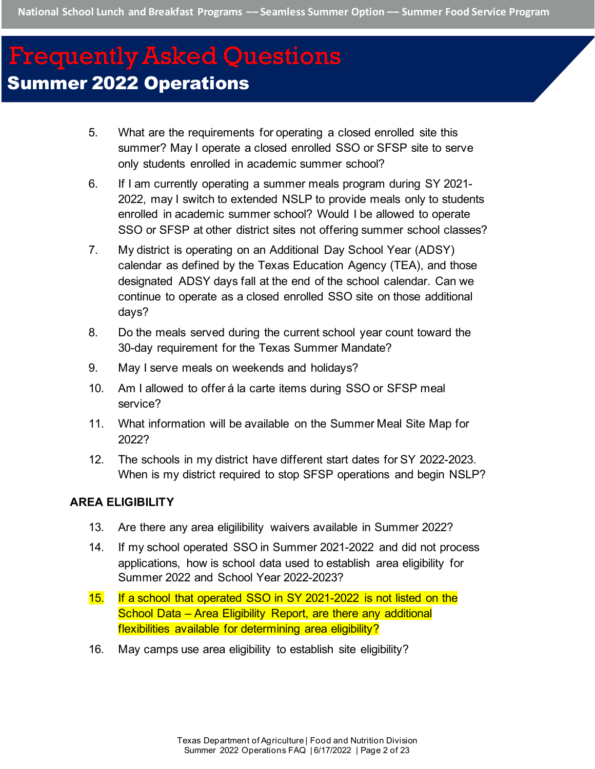- 5. [What are the requirements for operating a closed enrolled site this](#page-5-0)  [summer? May I operate a closed enrolled SSO or SFSP site to serve](#page-5-0)  [only students enrolled in academic summer school?](#page-5-0)
- 6. [If I am currently operating a summer meals program during SY 2021-](#page-5-1) [2022, may I switch to extended NSLP to provide meals only to students](#page-5-1)  [enrolled in academic summer school? Would I be allowed to operate](#page-5-1)  [SSO or SFSP at other district sites not offering summer school classes?](#page-5-1)
- 7. [My district is operating on an Additional Day School Year \(ADSY\)](#page-6-0)  [calendar as defined by the Texas Education Agency \(TEA\), and those](#page-6-0)  [designated ADSY days fall at the end of the school calendar. Can we](#page-6-0)  continue to operate as [a closed enrolled SSO site on those additional](#page-6-0)  [days?](#page-6-0)
- 8. [Do the meals served during the current school year count toward the](#page-7-0)  [30-day requirement for the Texas](#page-7-0) Summer Mandate?
- 9. [May I serve meals on weekends and holidays?](#page-7-1)
- 10. [Am I allowed to offer á la carte items during SSO or SFSP meal](#page-7-2)  [service?](#page-7-2)
- 11. [What information will be available on the Summer Meal Site Map for](#page-7-3)  [2022?](#page-7-3)
- 12. [The schools in my district have different start dates for SY 2022-2023.](#page-8-0)  [When is my district required to stop SFSP operations and begin NSLP?](#page-8-0)

#### **[AREA ELIGIBILITY](#page-8-1)**

- 13. [Are there any area eligilibility waivers available in Summer 2022?](#page-8-2)
- 14. [If my school operated SSO in Summer 2021-2022 and did not process](#page-8-3)  [applications, how is school data used to establish area eligibility for](#page-8-3)  [Summer 2022 and School Year 2022-2023?](#page-8-3)
- 15. [If a school that operated SSO in SY 2021-2022 is not listed on the](#page-9-0)  [School Data – Area Eligibility Report, are there any additional](#page-9-0)  [flexibilities available for determining area eligibility?](#page-9-0)
- 16. [May camps use area eligibility to establish site eligibility?](#page-9-1)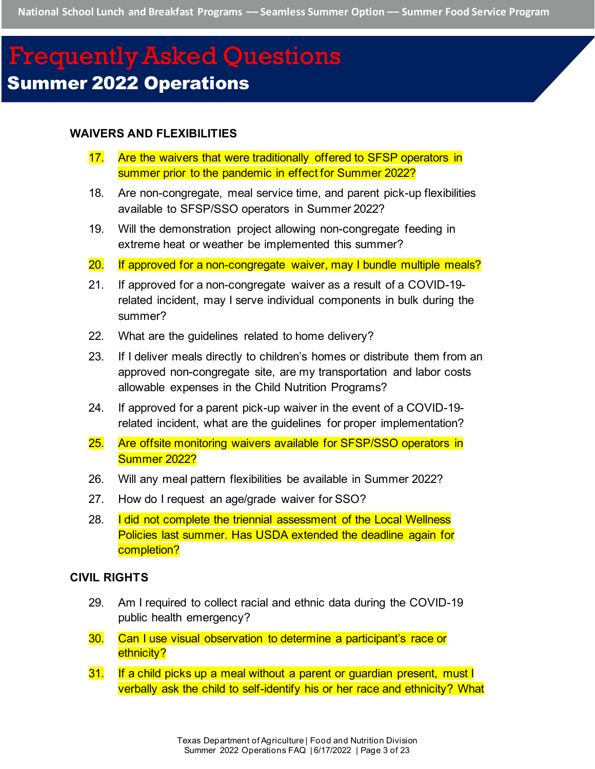#### **[WAIVERS AND FLEXIBILITIES](#page-10-0)**

- 17. Are the waivers that were traditionally offered to SFSP operators in [summer prior to the pandemic in effect for Summer 2022?](#page-10-1)
- 18. [Are non-congregate, meal service time, and parent pick-up flexibilities](#page-11-0)  [available to SFSP/SSO operators in Summer 2022?](#page-11-0)
- 19. [Will the demonstration project allowing non-congregate feeding in](#page-12-0)  [extreme heat or weather be implemented this summer?](#page-12-0)
- 20. [If approved for a non-congregate waiver, may I bundle multiple meals?](#page-13-0)
- 21. [If approved for a non-congregate waiver](#page-13-1) as a result of a COVID-19 [related incident, may I serve individual components in bulk during the](#page-13-1)  [summer?](#page-13-1)
- 22. [What are the guidelines related to home delivery?](#page-14-0)
- 23. [If I deliver meals directly to children's homes or distribute them from an](#page-15-0)  [approved non-congregate site, are my transportation and labor costs](#page-15-0)  [allowable expenses in the Child Nutrition Programs?](#page-15-0)
- 24. [If approved for a parent pick-up waiver in the event of a COVID-19](#page-15-1) [related incident, what are the guidelines for proper implementation?](#page-15-1)
- 25. [Are offsite monitoring waivers available for SFSP/SSO operators in](#page-15-2)  [Summer 2022?](#page-15-2)
- 26. [Will any meal pattern flexibilities be available in Summer 2022?](#page-16-0)
- 27. [How do I request an age/grade waiver for SSO?](#page-16-1)
- 28. I did not complete the triennial assessment of the Local Wellness [Policies last summer. Has USDA extended the deadline again for](#page-17-0)  [completion?](#page-17-0)

#### **[CIVIL RIGHTS](#page-17-1)**

- 29. [Am I required to collect racial and ethnic data during the COVID-19](#page-17-2)  [public health emergency?](#page-17-2)
- 30. [Can I use visual observation to determine a participant's race or](#page-17-3)  [ethnicity?](#page-17-3)
- 31. If a child picks up a meal without a parent or guardian present, must I [verbally ask the child to self-identify his or her race and ethnicity? What](#page-18-0)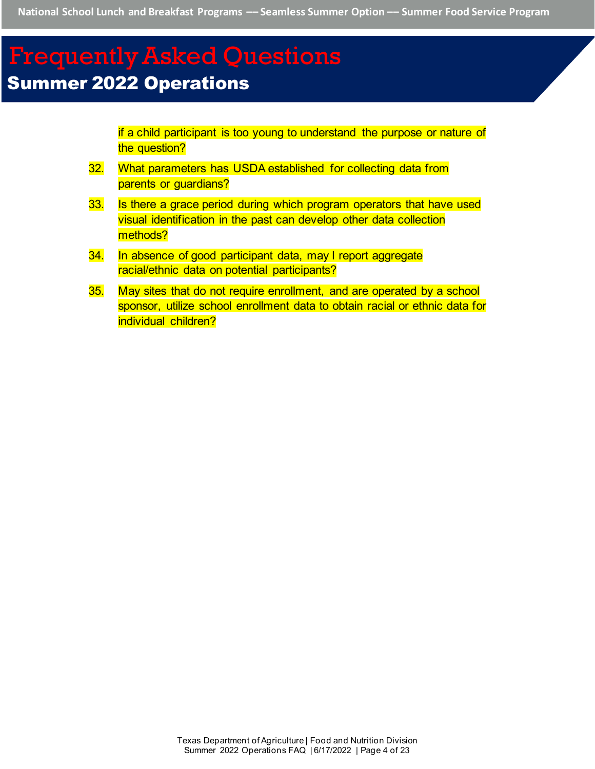[if a child participant is too young to understand the purpose or nature of](#page-18-0)  [the question?](#page-18-0)

- 32. [What parameters has USDA established for collecting data from](#page-18-1)  [parents or guardians?](#page-18-1)
- 33. Is there a grace period during which program operators that have used [visual identification in the past can develop other data collection](#page-19-0)  [methods?](#page-19-0)
- 34. [In absence of good participant data, may I report aggregate](#page-19-1)  [racial/ethnic data on potential participants?](#page-19-1)
- 35. [May sites that do not require enrollment, and are operated by a school](#page-20-0)  [sponsor, utilize school enrollment data to obtain racial or ethnic data for](#page-20-0)  [individual children?](#page-20-0)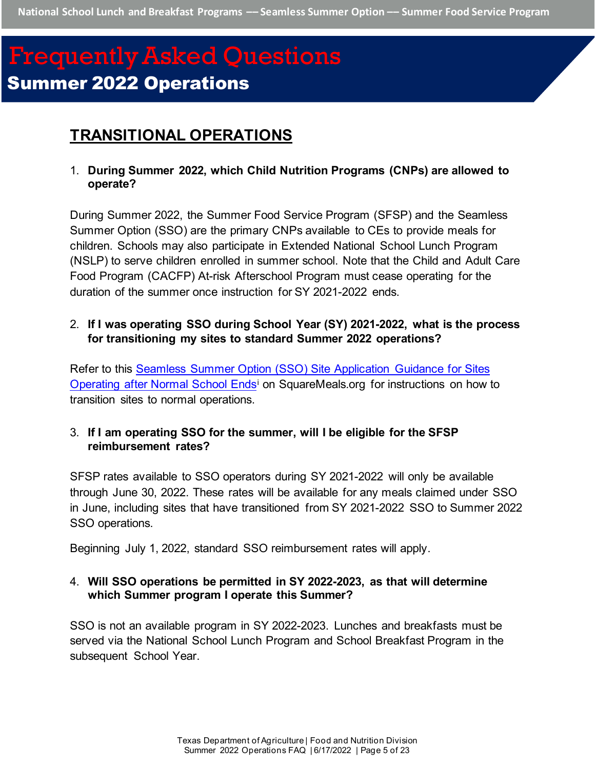## <span id="page-4-0"></span>**TRANSITIONAL OPERATIONS**

<span id="page-4-1"></span>1. **During Summer 2022, which Child Nutrition Programs (CNPs) are allowed to operate?**

During Summer 2022, the Summer Food Service Program (SFSP) and the Seamless Summer Option (SSO) are the primary CNPs available to CEs to provide meals for children. Schools may also participate in Extended National School Lunch Program (NSLP) to serve children enrolled in summer school. Note that the Child and Adult Care Food Program (CACFP) At-risk Afterschool Program must cease operating for the duration of the summer once instruction for SY 2021-2022 ends.

### <span id="page-4-2"></span>2. **If I was operating SSO during School Year (SY) 2021-2022, what is the process for transitioning my sites to standard Summer 2022 operations?**

Refer to this [Seamless Summer Option \(SSO\) Site Application Guidance](https://squaremeals.org/LinkClick.aspx?fileticket=XfTsK6WQa-4%3d&portalid=8) for Sites [Operating after Normal School Endsi](https://squaremeals.org/LinkClick.aspx?fileticket=XfTsK6WQa-4%3d&portalid=8) on SquareMeals.org for instructions on how to transition sites to normal operations.

## <span id="page-4-3"></span>3. **If I am operating SSO for the summer, will I be eligible for the SFSP reimbursement rates?**

SFSP rates available to SSO operators during SY 2021-2022 will only be available through June 30, 2022. These rates will be available for any meals claimed under SSO in June, including sites that have transitioned from SY 2021-2022 SSO to Summer 2022 SSO operations.

Beginning July 1, 2022, standard SSO reimbursement rates will apply.

### <span id="page-4-4"></span>4. **Will SSO operations be permitted in SY 2022-2023, as that will determine which Summer program I operate this Summer?**

SSO is not an available program in SY 2022-2023. Lunches and breakfasts must be served via the National School Lunch Program and School Breakfast Program in the subsequent School Year.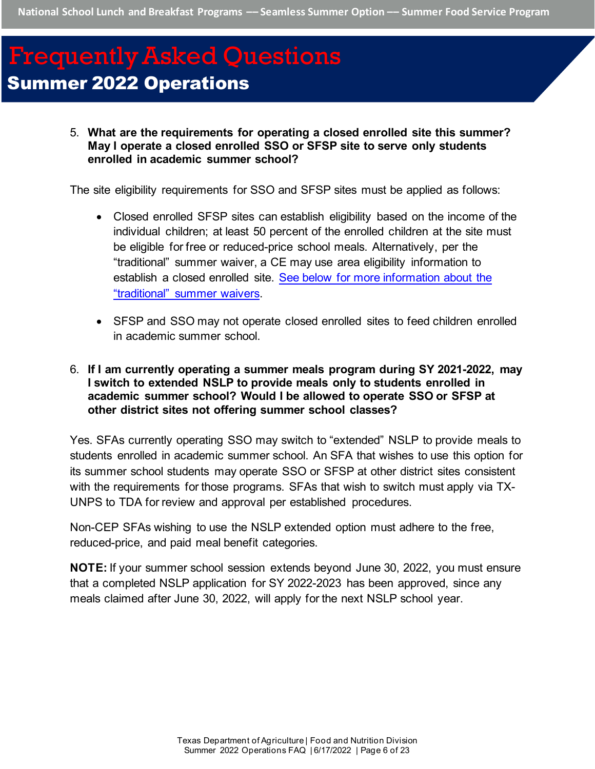<span id="page-5-0"></span>5. **What are the requirements for operating a closed enrolled site this summer? May I operate a closed enrolled SSO or SFSP site to serve only students enrolled in academic summer school?**

The site eligibility requirements for SSO and SFSP sites must be applied as follows:

- Closed enrolled SFSP sites can establish eligibility based on the income of the individual children; at least 50 percent of the enrolled children at the site must be eligible for free or reduced-price school meals. Alternatively, per the "traditional" summer waiver, a CE may use area eligibility information to establish a closed enrolled site. [See below for more information about the](#page-11-0)  ["traditional" summer waivers.](#page-11-0)
- SFSP and SSO may not operate closed enrolled sites to feed children enrolled in academic summer school.

### <span id="page-5-1"></span>6. **If I am currently operating a summer meals program during SY 2021-2022, may I switch to extended NSLP to provide meals only to students enrolled in academic summer school? Would I be allowed to operate SSO or SFSP at other district sites not offering summer school classes?**

Yes. SFAs currently operating SSO may switch to "extended" NSLP to provide meals to students enrolled in academic summer school. An SFA that wishes to use this option for its summer school students may operate SSO or SFSP at other district sites consistent with the requirements for those programs. SFAs that wish to switch must apply via TX-UNPS to TDA for review and approval per established procedures.

Non-CEP SFAs wishing to use the NSLP extended option must adhere to the free, reduced-price, and paid meal benefit categories.

<span id="page-5-2"></span>**NOTE:** If your summer school session extends beyond June 30, 2022, you must ensure that a completed NSLP application for SY 2022-2023 has been approved, since any meals claimed after June 30, 2022, will apply for the next NSLP school year.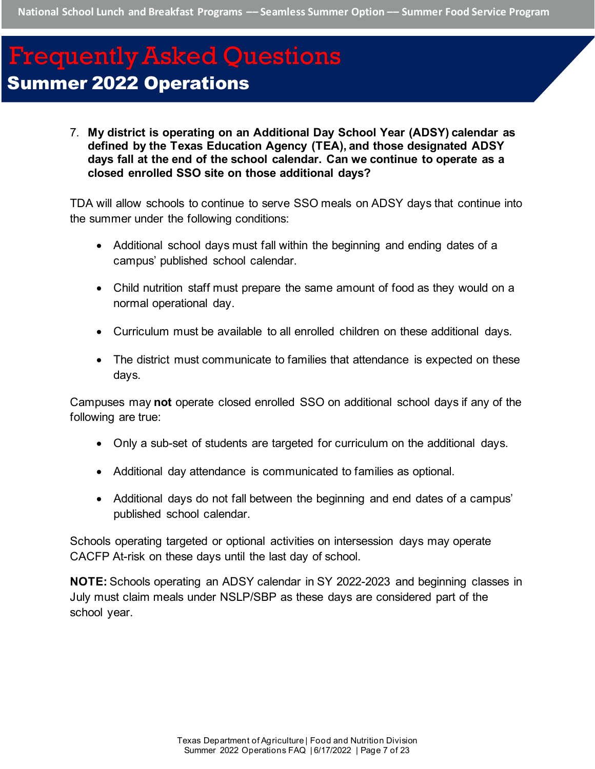<span id="page-6-0"></span>7. **My district is operating on an Additional Day School Year (ADSY) calendar as defined by the Texas Education Agency (TEA), and those designated ADSY days fall at the end of the school calendar. Can we continue to operate as a closed enrolled SSO site on those additional days?**

TDA will allow schools to continue to serve SSO meals on ADSY days that continue into the summer under the following conditions:

- Additional school days must fall within the beginning and ending dates of a campus' published school calendar.
- Child nutrition staff must prepare the same amount of food as they would on a normal operational day.
- Curriculum must be available to all enrolled children on these additional days.
- The district must communicate to families that attendance is expected on these days.

Campuses may **not** operate closed enrolled SSO on additional school days if any of the following are true:

- Only a sub-set of students are targeted for curriculum on the additional days.
- Additional day attendance is communicated to families as optional.
- Additional days do not fall between the beginning and end dates of a campus' published school calendar.

Schools operating targeted or optional activities on intersession days may operate CACFP At-risk on these days until the last day of school.

**NOTE:** Schools operating an ADSY calendar in SY 2022-2023 and beginning classes in July must claim meals under NSLP/SBP as these days are considered part of the school year.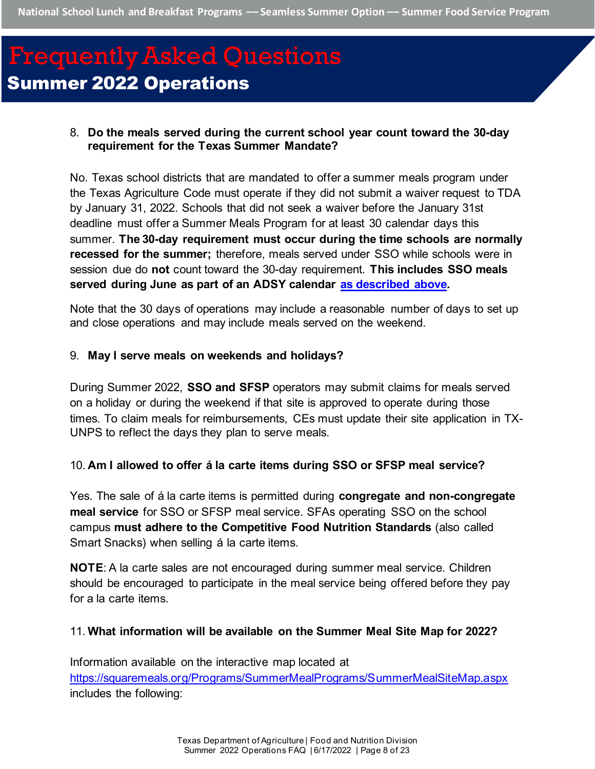### <span id="page-7-0"></span>8. **Do the meals served during the current school year count toward the 30-day requirement for the Texas Summer Mandate?**

No. Texas school districts that are mandated to offer a summer meals program under the Texas Agriculture Code must operate if they did not submit a waiver request to TDA by January 31, 2022. Schools that did not seek a waiver before the January 31st deadline must offer a Summer Meals Program for at least 30 calendar days this summer. **The 30-day requirement must occur during the time schools are normally recessed for the summer;** therefore, meals served under SSO while schools were in session due do **not** count toward the 30-day requirement. **This includes SSO meals served during June as part of an ADSY calendar [as described above.](#page-5-2)** 

Note that the 30 days of operations may include a reasonable number of days to set up and close operations and may include meals served on the weekend.

#### <span id="page-7-1"></span>9. **May I serve meals on weekends and holidays?**

During Summer 2022, **SSO and SFSP** operators may submit claims for meals served on a holiday or during the weekend if that site is approved to operate during those times. To claim meals for reimbursements, CEs must update their site application in TX-UNPS to reflect the days they plan to serve meals.

#### <span id="page-7-2"></span>10. **Am I allowed to offer á la carte items during SSO or SFSP meal service?**

Yes. The sale of á la carte items is permitted during **congregate and non-congregate meal service** for SSO or SFSP meal service. SFAs operating SSO on the school campus **must adhere to the Competitive Food Nutrition Standards** (also called Smart Snacks) when selling á la carte items.

**NOTE**: A la carte sales are not encouraged during summer meal service. Children should be encouraged to participate in the meal service being offered before they pay for a la carte items.

#### <span id="page-7-3"></span>11. **What information will be available on the Summer Meal Site Map for 2022?**

Information available on the interactive map located at <https://squaremeals.org/Programs/SummerMealPrograms/SummerMealSiteMap.aspx> includes the following: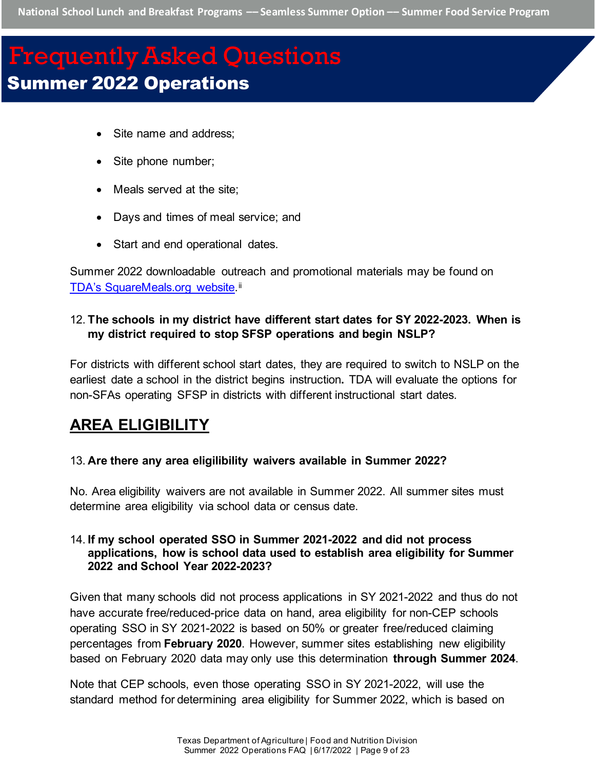- Site name and address;
- Site phone number;
- Meals served at the site;
- Days and times of meal service; and
- Start and end operational dates.

Summer 2022 downloadable outreach and promotional materials may be found on [TDA's SquareMeals.org website.](https://squaremeals.org/Programs/SummerMealPrograms/Resources.aspx)<sup>[ii](#page-22-1)</sup>

### <span id="page-8-0"></span>12. **The schools in my district have different start dates for SY 2022-2023. When is my district required to stop SFSP operations and begin NSLP?**

For districts with different school start dates, they are required to switch to NSLP on the earliest date a school in the district begins instruction**.** TDA will evaluate the options for non-SFAs operating SFSP in districts with different instructional start dates.

## <span id="page-8-1"></span>**AREA ELIGIBILITY**

#### <span id="page-8-2"></span>13. **Are there any area eligilibility waivers available in Summer 2022?**

No. Area eligibility waivers are not available in Summer 2022. All summer sites must determine area eligibility via school data or census date.

#### <span id="page-8-3"></span>14. **If my school operated SSO in Summer 2021-2022 and did not process applications, how is school data used to establish area eligibility for Summer 2022 and School Year 2022-2023?**

Given that many schools did not process applications in SY 2021-2022 and thus do not have accurate free/reduced-price data on hand, area eligibility for non-CEP schools operating SSO in SY 2021-2022 is based on 50% or greater free/reduced claiming percentages from **February 2020**. However, summer sites establishing new eligibility based on February 2020 data may only use this determination **through Summer 2024**.

Note that CEP schools, even those operating SSO in SY 2021-2022, will use the standard method for determining area eligibility for Summer 2022, which is based on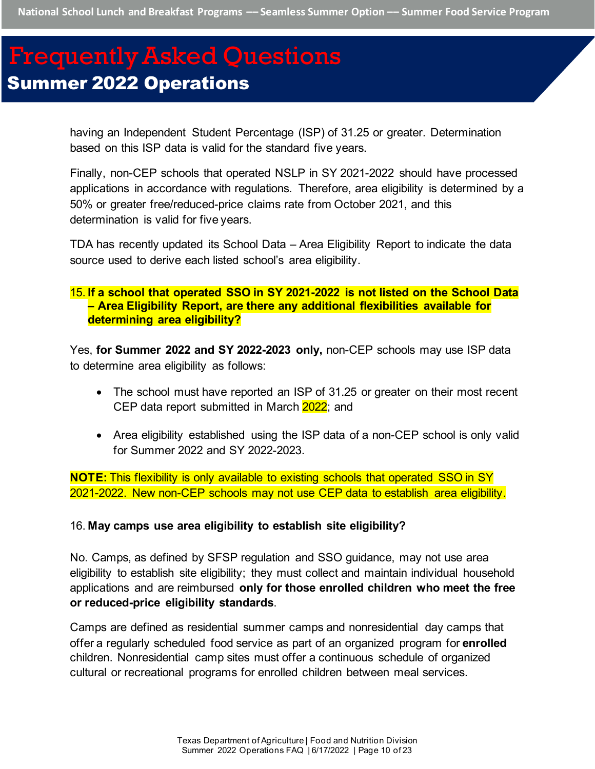having an Independent Student Percentage (ISP) of 31.25 or greater. Determination based on this ISP data is valid for the standard five years.

Finally, non-CEP schools that operated NSLP in SY 2021-2022 should have processed applications in accordance with regulations. Therefore, area eligibility is determined by a 50% or greater free/reduced-price claims rate from October 2021, and this determination is valid for five years.

TDA has recently updated its School Data – Area Eligibility Report to indicate the data source used to derive each listed school's area eligibility.

### <span id="page-9-0"></span>15. **If a school that operated SSO in SY 2021-2022 is not listed on the School Data – Area Eligibility Report, are there any additional flexibilities available for determining area eligibility?**

Yes, **for Summer 2022 and SY 2022-2023 only,** non-CEP schools may use ISP data to determine area eligibility as follows:

- The school must have reported an ISP of 31.25 or greater on their most recent CEP data report submitted in March 2022; and
- Area eligibility established using the ISP data of a non-CEP school is only valid for Summer 2022 and SY 2022-2023.

**NOTE:** This flexibility is only available to existing schools that operated SSO in SY 2021-2022. New non-CEP schools may not use CEP data to establish area eligibility.

#### <span id="page-9-1"></span>16. **May camps use area eligibility to establish site eligibility?**

No. Camps, as defined by SFSP regulation and SSO guidance, may not use area eligibility to establish site eligibility; they must collect and maintain individual household applications and are reimbursed **only for those enrolled children who meet the free or reduced-price eligibility standards**.

Camps are defined as residential summer camps and nonresidential day camps that offer a regularly scheduled food service as part of an organized program for **enrolled**  children. Nonresidential camp sites must offer a continuous schedule of organized cultural or recreational programs for enrolled children between meal services.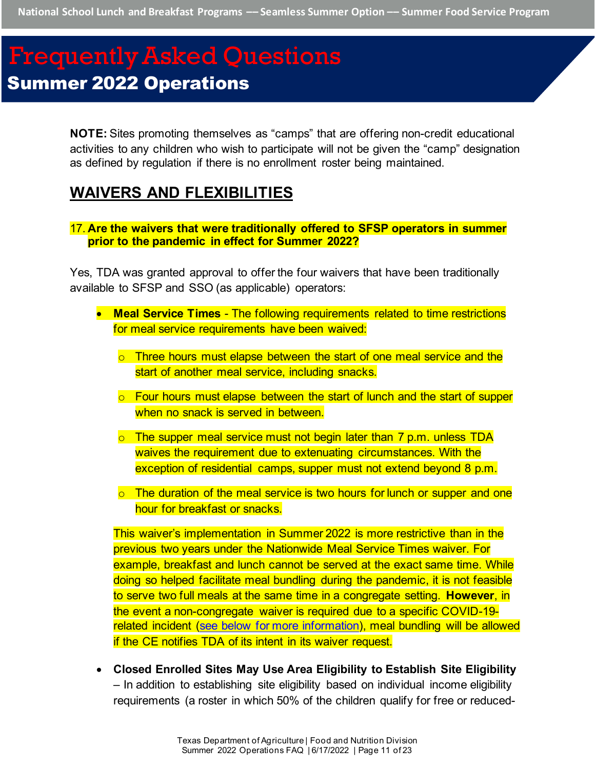**National School Lunch and Breakfast Programs –– Seamless Summer Option –– Summer Food Service Program**

# Frequently Asked Questions Summer 2022 Operations

**NOTE:** Sites promoting themselves as "camps" that are offering non-credit educational activities to any children who wish to participate will not be given the "camp" designation as defined by regulation if there is no enrollment roster being maintained.

## <span id="page-10-0"></span>**WAIVERS AND FLEXIBILITIES**

<span id="page-10-1"></span>17. **Are the waivers that were traditionally offered to SFSP operators in summer prior to the pandemic in effect for Summer 2022?**

Yes, TDA was granted approval to offer the four waivers that have been traditionally available to SFSP and SSO (as applicable) operators:

- **Meal Service Times** The following requirements related to time restrictions for meal service requirements have been waived:
	- $\circ$  Three hours must elapse between the start of one meal service and the start of another meal service, including snacks.
	- o Four hours must elapse between the start of lunch and the start of supper when no snack is served in between.
	- $\circ$  The supper meal service must not begin later than 7 p.m. unless TDA waives the requirement due to extenuating circumstances. With the exception of residential camps, supper must not extend beyond 8 p.m.
	- $\circ$  The duration of the meal service is two hours for lunch or supper and one hour for breakfast or snacks.

This waiver's implementation in Summer 2022 is more restrictive than in the previous two years under the Nationwide Meal Service Times waiver. For example, breakfast and lunch cannot be served at the exact same time. While doing so helped facilitate meal bundling during the pandemic, it is not feasible to serve two full meals at the same time in a congregate setting. **However**, in the event a non-congregate waiver is required due to a specific COVID-19 related incident [\(see below for more information\)](#page-11-0), meal bundling will be allowed if the CE notifies TDA of its intent in its waiver request.

• **Closed Enrolled Sites May Use Area Eligibility to Establish Site Eligibility**  – In addition to establishing site eligibility based on individual income eligibility requirements (a roster in which 50% of the children qualify for free or reduced-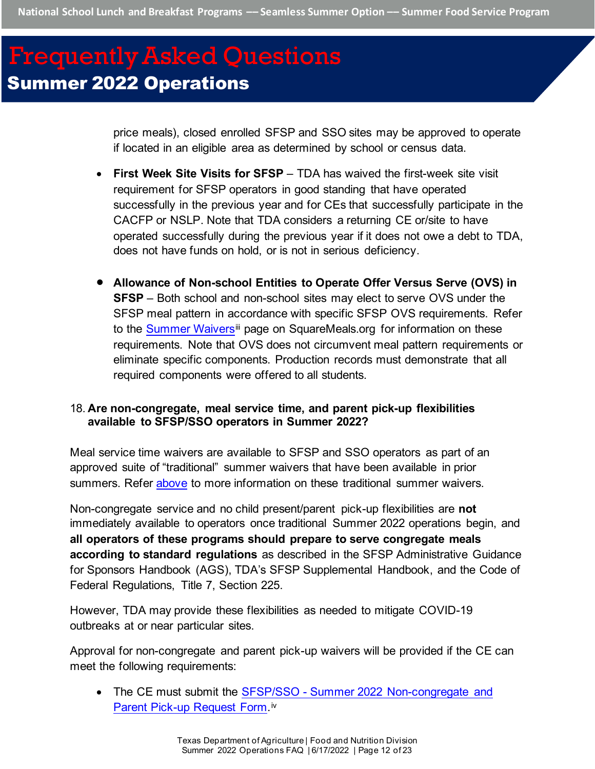price meals), closed enrolled SFSP and SSO sites may be approved to operate if located in an eligible area as determined by school or census data.

- **First Week Site Visits for SFSP**  TDA has waived the first-week site visit requirement for SFSP operators in good standing that have operated successfully in the previous year and for CEs that successfully participate in the CACFP or NSLP. Note that TDA considers a returning CE or/site to have operated successfully during the previous year if it does not owe a debt to TDA, does not have funds on hold, or is not in serious deficiency.
- **Allowance of Non-school Entities to Operate Offer Versus Serve (OVS) in SFSP** – Both school and non-school sites may elect to serve OVS under the SFSP meal pattern in accordance with specific SFSP OVS requirements. Refer to the Summer Waivers<sup>[ii](#page-22-2)i</sup> page on SquareMeals.org for information on these requirements. Note that OVS does not circumvent meal pattern requirements or eliminate specific components. Production records must demonstrate that all required components were offered to all students.

### <span id="page-11-0"></span>18. **Are non-congregate, meal service time, and parent pick-up flexibilities available to SFSP/SSO operators in Summer 2022?**

Meal service time waivers are available to SFSP and SSO operators as part of an approved suite of "traditional" summer waivers that have been available in prior summers. Refer [above](#page-11-0) to more information on these traditional summer waivers.

Non-congregate service and no child present/parent pick-up flexibilities are **not**  immediately available to operators once traditional Summer 2022 operations begin, and **all operators of these programs should prepare to serve congregate meals according to standard regulations** as described in the SFSP Administrative Guidance for Sponsors Handbook (AGS), TDA's SFSP Supplemental Handbook, and the Code of Federal Regulations, Title 7, Section 225.

However, TDA may provide these flexibilities as needed to mitigate COVID-19 outbreaks at or near particular sites.

Approval for non-congregate and parent pick-up waivers will be provided if the CE can meet the following requirements:

• The CE must submit the **SFSP/SSO** - Summer 2022 Non-congregate and [Parent Pick-up Request Form.](https://app.smartsheet.com/b/publish?EQBCT=f1c1546f15ca471b88b0ffd7b94010d2)<sup>[iv](#page-22-3)</sup>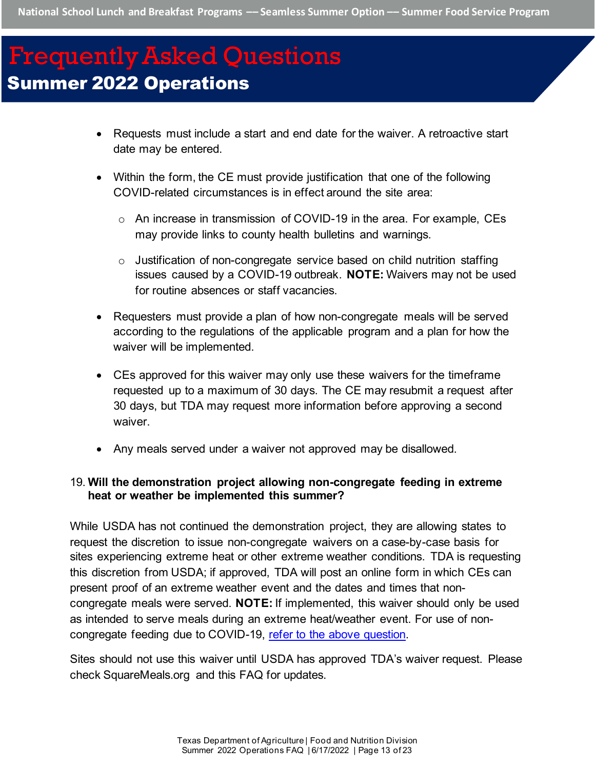- Requests must include a start and end date for the waiver. A retroactive start date may be entered.
- Within the form, the CE must provide justification that one of the following COVID-related circumstances is in effect around the site area:
	- o An increase in transmission of COVID-19 in the area. For example, CEs may provide links to county health bulletins and warnings.
	- $\circ$  Justification of non-congregate service based on child nutrition staffing issues caused by a COVID-19 outbreak. **NOTE:** Waivers may not be used for routine absences or staff vacancies.
- Requesters must provide a plan of how non-congregate meals will be served according to the regulations of the applicable program and a plan for how the waiver will be implemented.
- CEs approved for this waiver may only use these waivers for the timeframe requested up to a maximum of 30 days. The CE may resubmit a request after 30 days, but TDA may request more information before approving a second waiver.
- Any meals served under a waiver not approved may be disallowed.

### <span id="page-12-0"></span>19. **Will the demonstration project allowing non-congregate feeding in extreme heat or weather be implemented this summer?**

While USDA has not continued the demonstration project, they are allowing states to request the discretion to issue non-congregate waivers on a case-by-case basis for sites experiencing extreme heat or other extreme weather conditions. TDA is requesting this discretion from USDA; if approved, TDA will post an online form in which CEs can present proof of an extreme weather event and the dates and times that noncongregate meals were served. **NOTE:** If implemented, this waiver should only be used as intended to serve meals during an extreme heat/weather event. For use of noncongregate feeding due to COVID-19, [refer to the above question.](#page-11-0) 

Sites should not use this waiver until USDA has approved TDA's waiver request. Please check SquareMeals.org and this FAQ for updates.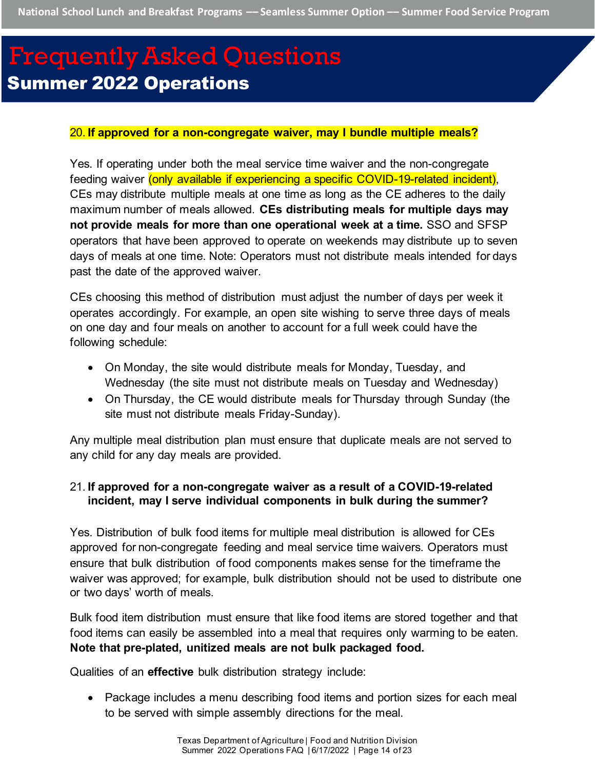#### <span id="page-13-0"></span>20. **If approved for a non-congregate waiver, may I bundle multiple meals?**

Yes. If operating under both the meal service time waiver and the non-congregate feeding waiver (only available if experiencing a specific COVID-19-related incident), CEs may distribute multiple meals at one time as long as the CE adheres to the daily maximum number of meals allowed. **CEs distributing meals for multiple days may not provide meals for more than one operational week at a time.** SSO and SFSP operators that have been approved to operate on weekends may distribute up to seven days of meals at one time. Note: Operators must not distribute meals intended for days past the date of the approved waiver.

CEs choosing this method of distribution must adjust the number of days per week it operates accordingly. For example, an open site wishing to serve three days of meals on one day and four meals on another to account for a full week could have the following schedule:

- On Monday, the site would distribute meals for Monday, Tuesday, and Wednesday (the site must not distribute meals on Tuesday and Wednesday)
- On Thursday, the CE would distribute meals for Thursday through Sunday (the site must not distribute meals Friday-Sunday).

Any multiple meal distribution plan must ensure that duplicate meals are not served to any child for any day meals are provided.

### <span id="page-13-1"></span>21. **If approved for a non-congregate waiver as a result of a COVID-19-related incident, may I serve individual components in bulk during the summer?**

Yes. Distribution of bulk food items for multiple meal distribution is allowed for CEs approved for non-congregate feeding and meal service time waivers. Operators must ensure that bulk distribution of food components makes sense for the timeframe the waiver was approved; for example, bulk distribution should not be used to distribute one or two days' worth of meals.

Bulk food item distribution must ensure that like food items are stored together and that food items can easily be assembled into a meal that requires only warming to be eaten. **Note that pre-plated, unitized meals are not bulk packaged food.**

Qualities of an **effective** bulk distribution strategy include:

• Package includes a menu describing food items and portion sizes for each meal to be served with simple assembly directions for the meal.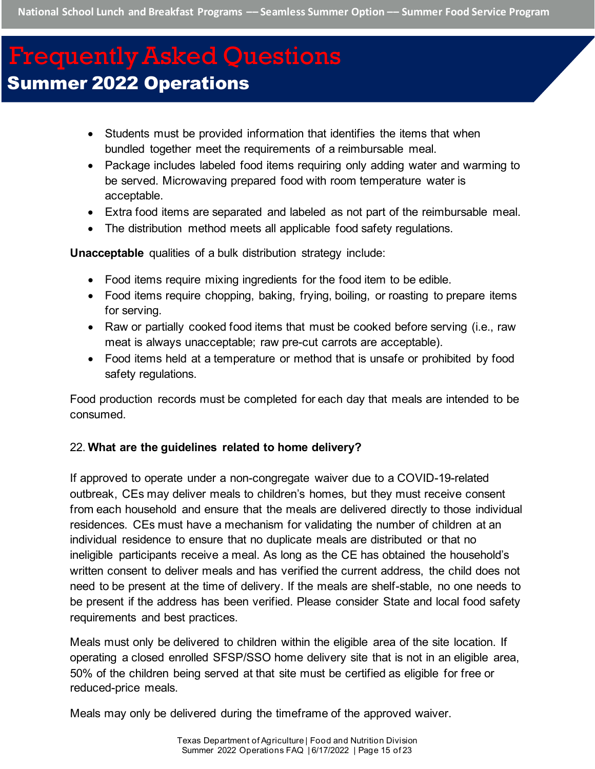- Students must be provided information that identifies the items that when bundled together meet the requirements of a reimbursable meal.
- Package includes labeled food items requiring only adding water and warming to be served. Microwaving prepared food with room temperature water is acceptable.
- Extra food items are separated and labeled as not part of the reimbursable meal.
- The distribution method meets all applicable food safety regulations.

**Unacceptable** qualities of a bulk distribution strategy include:

- Food items require mixing ingredients for the food item to be edible.
- Food items require chopping, baking, frying, boiling, or roasting to prepare items for serving.
- Raw or partially cooked food items that must be cooked before serving (i.e., raw meat is always unacceptable; raw pre-cut carrots are acceptable).
- Food items held at a temperature or method that is unsafe or prohibited by food safety regulations.

Food production records must be completed for each day that meals are intended to be consumed.

## <span id="page-14-0"></span>22. **What are the guidelines related to home delivery?**

If approved to operate under a non-congregate waiver due to a COVID-19-related outbreak, CEs may deliver meals to children's homes, but they must receive consent from each household and ensure that the meals are delivered directly to those individual residences. CEs must have a mechanism for validating the number of children at an individual residence to ensure that no duplicate meals are distributed or that no ineligible participants receive a meal. As long as the CE has obtained the household's written consent to deliver meals and has verified the current address, the child does not need to be present at the time of delivery. If the meals are shelf-stable, no one needs to be present if the address has been verified. Please consider State and local food safety requirements and best practices.

Meals must only be delivered to children within the eligible area of the site location. If operating a closed enrolled SFSP/SSO home delivery site that is not in an eligible area, 50% of the children being served at that site must be certified as eligible for free or reduced-price meals.

Meals may only be delivered during the timeframe of the approved waiver.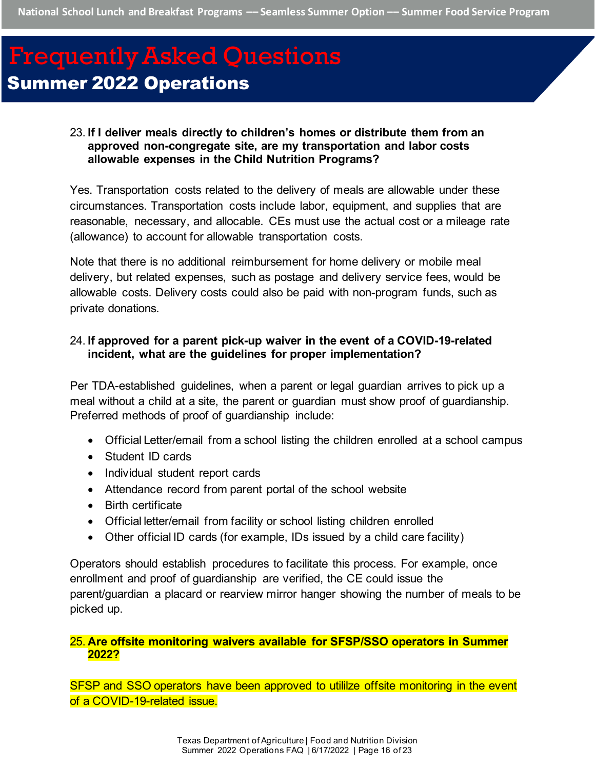#### <span id="page-15-0"></span>23. **If I deliver meals directly to children's homes or distribute them from an approved non-congregate site, are my transportation and labor costs allowable expenses in the Child Nutrition Programs?**

Yes. Transportation costs related to the delivery of meals are allowable under these circumstances. Transportation costs include labor, equipment, and supplies that are reasonable, necessary, and allocable. CEs must use the actual cost or a mileage rate (allowance) to account for allowable transportation costs.

Note that there is no additional reimbursement for home delivery or mobile meal delivery, but related expenses, such as postage and delivery service fees, would be allowable costs. Delivery costs could also be paid with non-program funds, such as private donations.

#### <span id="page-15-1"></span>24. **If approved for a parent pick-up waiver in the event of a COVID-19-related incident, what are the guidelines for proper implementation?**

Per TDA-established guidelines, when a parent or legal guardian arrives to pick up a meal without a child at a site, the parent or guardian must show proof of guardianship. Preferred methods of proof of guardianship include:

- Official Letter/email from a school listing the children enrolled at a school campus
- Student ID cards
- Individual student report cards
- Attendance record from parent portal of the school website
- Birth certificate
- Official letter/email from facility or school listing children enrolled
- Other official ID cards (for example, IDs issued by a child care facility)

Operators should establish procedures to facilitate this process. For example, once enrollment and proof of guardianship are verified, the CE could issue the parent/guardian a placard or rearview mirror hanger showing the number of meals to be picked up.

#### <span id="page-15-2"></span>25. **Are offsite monitoring waivers available for SFSP/SSO operators in Summer 2022?**

SFSP and SSO operators have been approved to utililze offsite monitoring in the event of a COVID-19-related issue.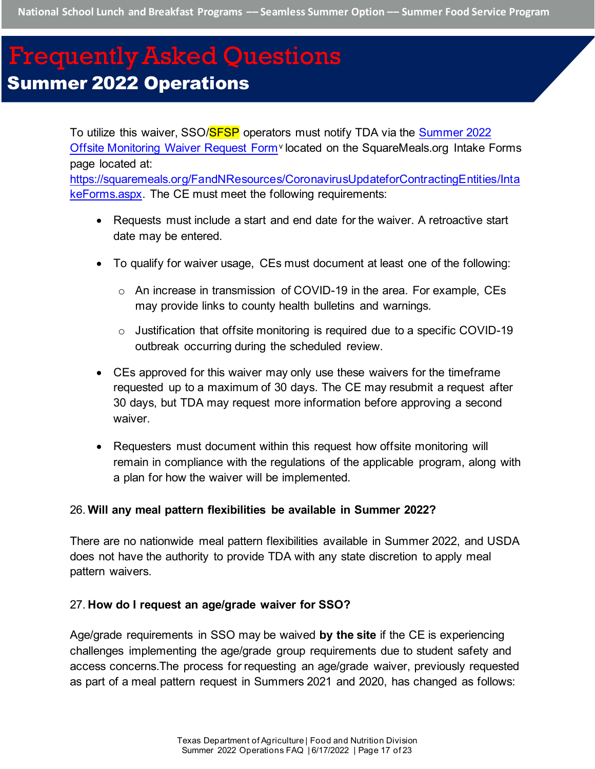To utilize this waiver, SSO/<mark>SFSP</mark> operators must notify TDA via the **Summer 2022** [Offsite Monitoring Waiver Request Form](https://app.smartsheet.com/b/publish?EQBCT=14d55a04af064dd9875bf3c6791b0eb1)<sup>[v](#page-22-4)</sup> located on the SquareMeals.org Intake Forms page located at: [https://squaremeals.org/FandNResources/CoronavirusUpdateforContractingEntities/Inta](https://squaremeals.org/FandNResources/CoronavirusUpdateforContractingEntities/IntakeForms.aspx) [keForms.aspx.](https://squaremeals.org/FandNResources/CoronavirusUpdateforContractingEntities/IntakeForms.aspx) The CE must meet the following requirements:

- Requests must include a start and end date for the waiver. A retroactive start date may be entered.
- To qualify for waiver usage, CEs must document at least one of the following:
	- o An increase in transmission of COVID-19 in the area. For example, CEs may provide links to county health bulletins and warnings.
	- $\circ$  Justification that offsite monitoring is required due to a specific COVID-19 outbreak occurring during the scheduled review.
- CEs approved for this waiver may only use these waivers for the timeframe requested up to a maximum of 30 days. The CE may resubmit a request after 30 days, but TDA may request more information before approving a second waiver.
- Requesters must document within this request how offsite monitoring will remain in compliance with the regulations of the applicable program, along with a plan for how the waiver will be implemented.

#### <span id="page-16-0"></span>26. **Will any meal pattern flexibilities be available in Summer 2022?**

There are no nationwide meal pattern flexibilities available in Summer 2022, and USDA does not have the authority to provide TDA with any state discretion to apply meal pattern waivers.

#### <span id="page-16-1"></span>27. **How do I request an age/grade waiver for SSO?**

Age/grade requirements in SSO may be waived **by the site** if the CE is experiencing challenges implementing the age/grade group requirements due to student safety and access concerns.The process for requesting an age/grade waiver, previously requested as part of a meal pattern request in Summers 2021 and 2020, has changed as follows: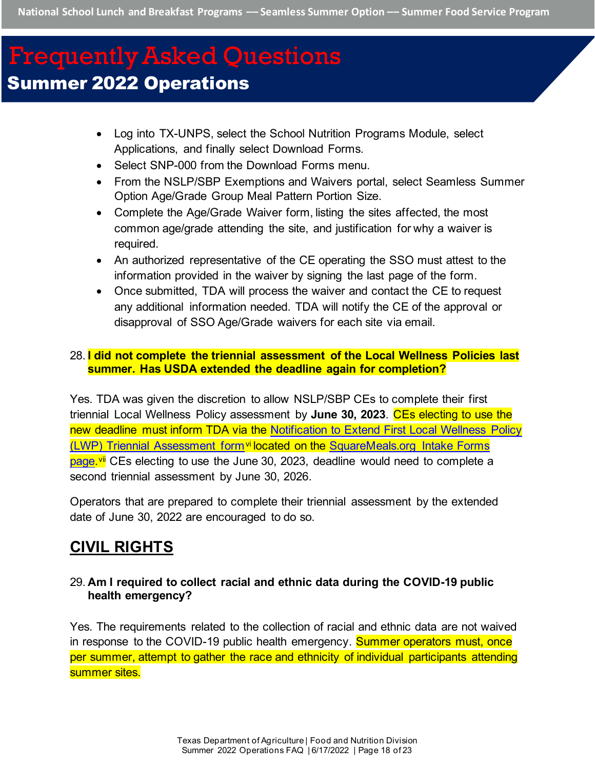- Log into TX-UNPS, select the School Nutrition Programs Module, select Applications, and finally select Download Forms.
- Select SNP-000 from the Download Forms menu.
- From the NSLP/SBP Exemptions and Waivers portal, select Seamless Summer Option Age/Grade Group Meal Pattern Portion Size.
- Complete the Age/Grade Waiver form, listing the sites affected, the most common age/grade attending the site, and justification for why a waiver is required.
- An authorized representative of the CE operating the SSO must attest to the information provided in the waiver by signing the last page of the form.
- Once submitted, TDA will process the waiver and contact the CE to request any additional information needed. TDA will notify the CE of the approval or disapproval of SSO Age/Grade waivers for each site via email.

### <span id="page-17-0"></span>28. **I did not complete the triennial assessment of the Local Wellness Policies last summer. Has USDA extended the deadline again for completion?**

Yes. TDA was given the discretion to allow NSLP/SBP CEs to complete their first triennial Local Wellness Policy assessment by **June 30, 2023**. CEs electing to use the new deadline must inform TDA via the Notification to Extend First Local Wellness Policy [\(LWP\) Triennial Assessment form](https://app.smartsheet.com/b/publish?EQBCT=52055cb8e8384cf6b32b5bf0d71105db)[vi](#page-22-5) located on the [SquareMeals.org Intake Forms](https://squaremeals.org/FandNResources/CoronavirusUpdateforContractingEntities/IntakeForms.aspx) [page.](https://squaremeals.org/FandNResources/CoronavirusUpdateforContractingEntities/IntakeForms.aspx)<sup>[vii](#page-22-6)</sup> CEs electing to use the June 30, 2023, deadline would need to complete a second triennial assessment by June 30, 2026.

Operators that are prepared to complete their triennial assessment by the extended date of June 30, 2022 are encouraged to do so.

# <span id="page-17-1"></span>**CIVIL RIGHTS**

### <span id="page-17-2"></span>29. **Am I required to collect racial and ethnic data during the COVID-19 public health emergency?**

<span id="page-17-3"></span>Yes. The requirements related to the collection of racial and ethnic data are not waived in response to the COVID-19 public health emergency. Summer operators must, once per summer, attempt to gather the race and ethnicity of individual participants attending summer sites.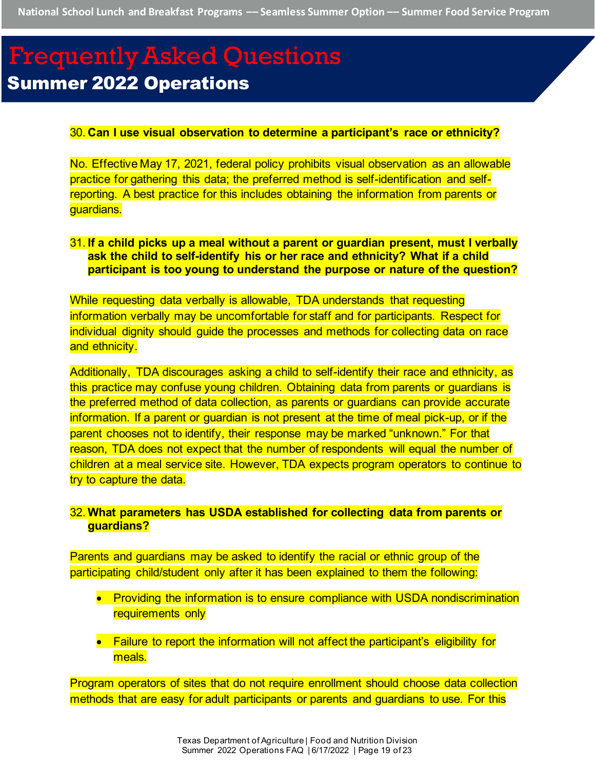#### 30. **Can I use visual observation to determine a participant's race or ethnicity?**

No. Effective May 17, 2021, federal policy prohibits visual observation as an allowable practice for gathering this data; the preferred method is self-identification and selfreporting. A best practice for this includes obtaining the information from parents or guardians.

#### <span id="page-18-0"></span>31. **If a child picks up a meal without a parent or guardian present, must I verbally ask the child to self-identify his or her race and ethnicity? What if a child participant is too young to understand the purpose or nature of the question?**

While requesting data verbally is allowable, TDA understands that requesting information verbally may be uncomfortable for staff and for participants. Respect for individual dignity should guide the processes and methods for collecting data on race and ethnicity.

Additionally, TDA discourages asking a child to self-identify their race and ethnicity, as this practice may confuse young children. Obtaining data from parents or guardians is the preferred method of data collection, as parents or guardians can provide accurate information. If a parent or guardian is not present at the time of meal pick-up, or if the parent chooses not to identify, their response may be marked "unknown." For that reason, TDA does not expect that the number of respondents will equal the number of children at a meal service site. However, TDA expects program operators to continue to try to capture the data.

#### <span id="page-18-1"></span>32. **What parameters has USDA established for collecting data from parents or guardians?**

Parents and guardians may be asked to identify the racial or ethnic group of the participating child/student only after it has been explained to them the following:

- Providing the information is to ensure compliance with USDA nondiscrimination requirements only
- Failure to report the information will not affect the participant's eligibility for meals.

Program operators of sites that do not require enrollment should choose data collection methods that are easy for adult participants or parents and guardians to use. For this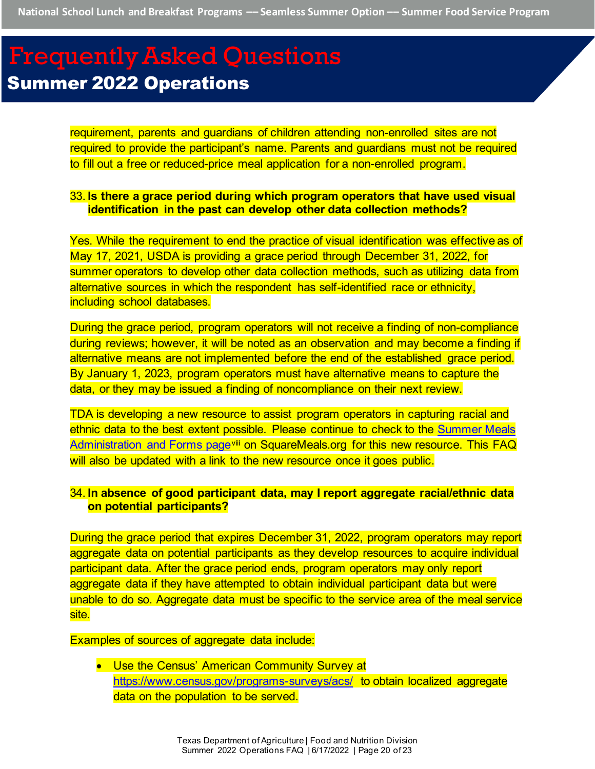requirement, parents and guardians of children attending non-enrolled sites are not required to provide the participant's name. Parents and guardians must not be required to fill out a free or reduced-price meal application for a non-enrolled program.

#### <span id="page-19-0"></span>33. **Is there a grace period during which program operators that have used visual identification in the past can develop other data collection methods?**

Yes. While the requirement to end the practice of visual identification was effective as of May 17, 2021, USDA is providing a grace period through December 31, 2022, for summer operators to develop other data collection methods, such as utilizing data from alternative sources in which the respondent has self-identified race or ethnicity, including school databases.

During the grace period, program operators will not receive a finding of non-compliance during reviews; however, it will be noted as an observation and may become a finding if alternative means are not implemented before the end of the established grace period. By January 1, 2023, program operators must have alternative means to capture the data, or they may be issued a finding of noncompliance on their next review.

TDA is developing a new resource to assist program operators in capturing racial and ethnic data to the best extent possible. Please continue to check to the [Summer Meals](https://squaremeals.org/Programs/SummerMealPrograms/AdministrationForms.aspx)  [Administration and Forms page](https://squaremeals.org/Programs/SummerMealPrograms/AdministrationForms.aspx)vill on SquareMeals.org for this new resource. This FAQ will also be updated with a link to the new resource once it goes public.

#### <span id="page-19-1"></span>34. **In absence of good participant data, may I report aggregate racial/ethnic data on potential participants?**

During the grace period that expires December 31, 2022, program operators may report aggregate data on potential participants as they develop resources to acquire individual participant data. After the grace period ends, program operators may only report aggregate data if they have attempted to obtain individual participant data but were unable to do so. Aggregate data must be specific to the service area of the meal service site.

Examples of sources of aggregate data include:

• Use the Census' American Community Survey at <https://www.census.gov/programs-surveys/acs/> to obtain localized aggregate data on the population to be served.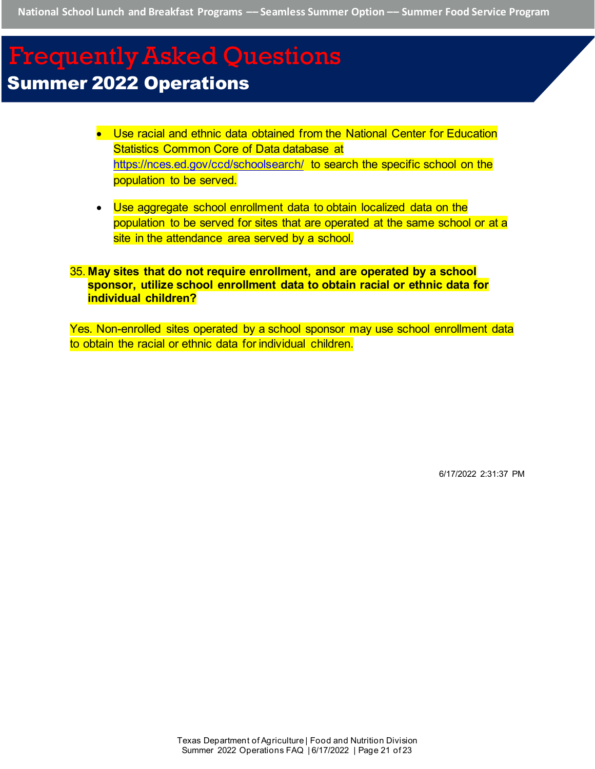- Use racial and ethnic data obtained from the National Center for Education Statistics Common Core of Data database at <https://nces.ed.gov/ccd/schoolsearch/> to search the specific school on the population to be served.
- Use aggregate school enrollment data to obtain localized data on the population to be served for sites that are operated at the same school or at a site in the attendance area served by a school.

## <span id="page-20-0"></span>35. **May sites that do not require enrollment, and are operated by a school sponsor, utilize school enrollment data to obtain racial or ethnic data for individual children?**

Yes. Non-enrolled sites operated by a school sponsor may use school enrollment data to obtain the racial or ethnic data for individual children.

6/17/2022 2:31:37 PM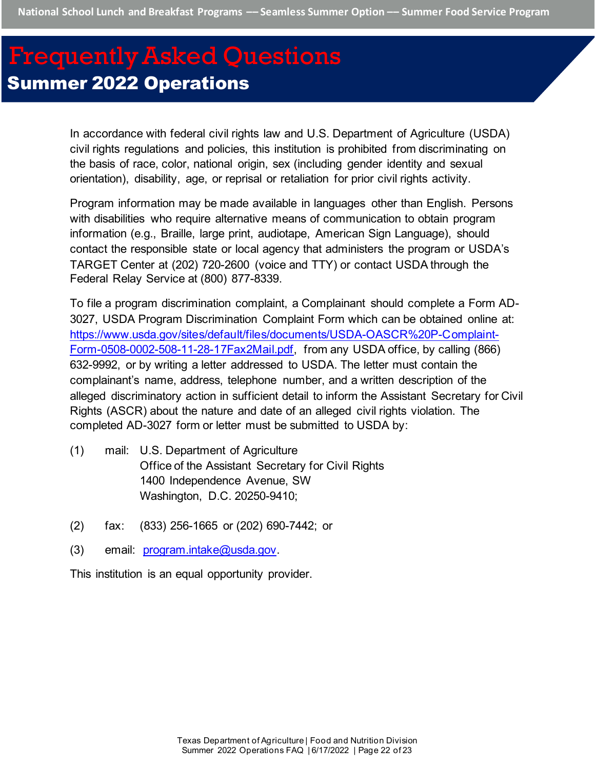In accordance with federal civil rights law and U.S. Department of Agriculture (USDA) civil rights regulations and policies, this institution is prohibited from discriminating on the basis of race, color, national origin, sex (including gender identity and sexual orientation), disability, age, or reprisal or retaliation for prior civil rights activity.

Program information may be made available in languages other than English. Persons with disabilities who require alternative means of communication to obtain program information (e.g., Braille, large print, audiotape, American Sign Language), should contact the responsible state or local agency that administers the program or USDA's TARGET Center at (202) 720-2600 (voice and TTY) or contact USDA through the Federal Relay Service at (800) 877-8339.

To file a program discrimination complaint, a Complainant should complete a Form AD-3027, USDA Program Discrimination Complaint Form which can be obtained online at: [https://www.usda.gov/sites/default/files/documents/USDA-OASCR%20P-Complaint-](https://www.usda.gov/sites/default/files/documents/USDA-OASCR%20P-Complaint-Form-0508-0002-508-11-28-17Fax2Mail.pdf)[Form-0508-0002-508-11-28-17Fax2Mail.pdf,](https://www.usda.gov/sites/default/files/documents/USDA-OASCR%20P-Complaint-Form-0508-0002-508-11-28-17Fax2Mail.pdf) from any USDA office, by calling (866) 632-9992, or by writing a letter addressed to USDA. The letter must contain the complainant's name, address, telephone number, and a written description of the alleged discriminatory action in sufficient detail to inform the Assistant Secretary for Civil Rights (ASCR) about the nature and date of an alleged civil rights violation. The completed AD-3027 form or letter must be submitted to USDA by:

- (1) mail: U.S. Department of Agriculture Office of the Assistant Secretary for Civil Rights 1400 Independence Avenue, SW Washington, D.C. 20250-9410;
- (2) fax: (833) 256-1665 or (202) 690-7442; or
- (3) email: [program.intake@usda.gov.](mailto:program.intake@usda.gov)

This institution is an equal opportunity provider.